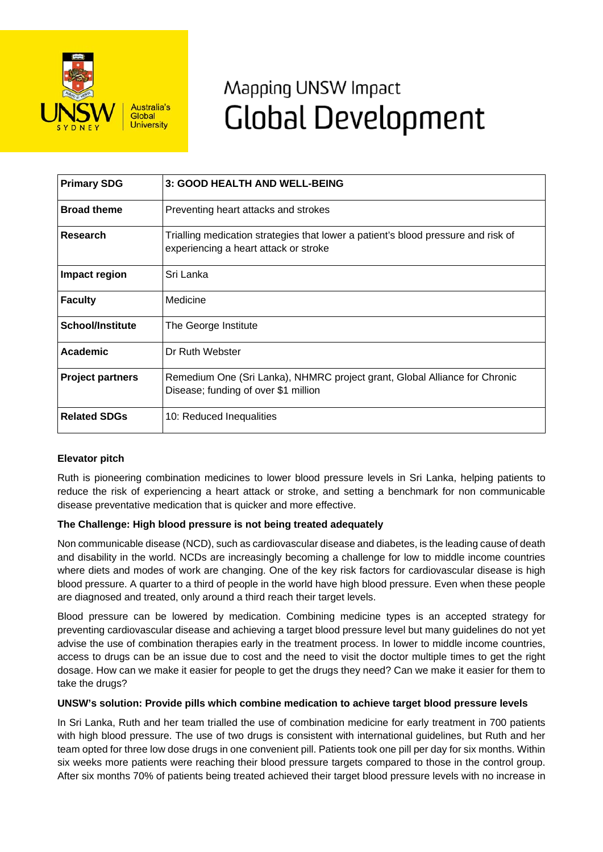

# Mapping UNSW Impact **Global Development**

| <b>Primary SDG</b>      | 3: GOOD HEALTH AND WELL-BEING                                                                                              |
|-------------------------|----------------------------------------------------------------------------------------------------------------------------|
| <b>Broad theme</b>      | Preventing heart attacks and strokes                                                                                       |
| Research                | Trialling medication strategies that lower a patient's blood pressure and risk of<br>experiencing a heart attack or stroke |
| Impact region           | Sri Lanka                                                                                                                  |
| <b>Faculty</b>          | Medicine                                                                                                                   |
| <b>School/Institute</b> | The George Institute                                                                                                       |
| Academic                | Dr Ruth Webster                                                                                                            |
| <b>Project partners</b> | Remedium One (Sri Lanka), NHMRC project grant, Global Alliance for Chronic<br>Disease; funding of over \$1 million         |
| <b>Related SDGs</b>     | 10: Reduced Inequalities                                                                                                   |

# **Elevator pitch**

Ruth is pioneering combination medicines to lower blood pressure levels in Sri Lanka, helping patients to reduce the risk of experiencing a heart attack or stroke, and setting a benchmark for non communicable disease preventative medication that is quicker and more effective.

# **The Challenge: High blood pressure is not being treated adequately**

Non communicable disease (NCD), such as cardiovascular disease and diabetes, is the leading cause of death and disability in the world. NCDs are increasingly becoming a challenge for low to middle income countries where diets and modes of work are changing. One of the key risk factors for cardiovascular disease is high blood pressure. A quarter to a third of people in the world have high blood pressure. Even when these people are diagnosed and treated, only around a third reach their target levels.

Blood pressure can be lowered by medication. Combining medicine types is an accepted strategy for preventing cardiovascular disease and achieving a target blood pressure level but many guidelines do not yet advise the use of combination therapies early in the treatment process. In lower to middle income countries, access to drugs can be an issue due to cost and the need to visit the doctor multiple times to get the right dosage. How can we make it easier for people to get the drugs they need? Can we make it easier for them to take the drugs?

## **UNSW's solution: Provide pills which combine medication to achieve target blood pressure levels**

In Sri Lanka, Ruth and her team trialled the use of combination medicine for early treatment in 700 patients with high blood pressure. The use of two drugs is consistent with international guidelines, but Ruth and her team opted for three low dose drugs in one convenient pill. Patients took one pill per day for six months. Within six weeks more patients were reaching their blood pressure targets compared to those in the control group. After six months 70% of patients being treated achieved their target blood pressure levels with no increase in